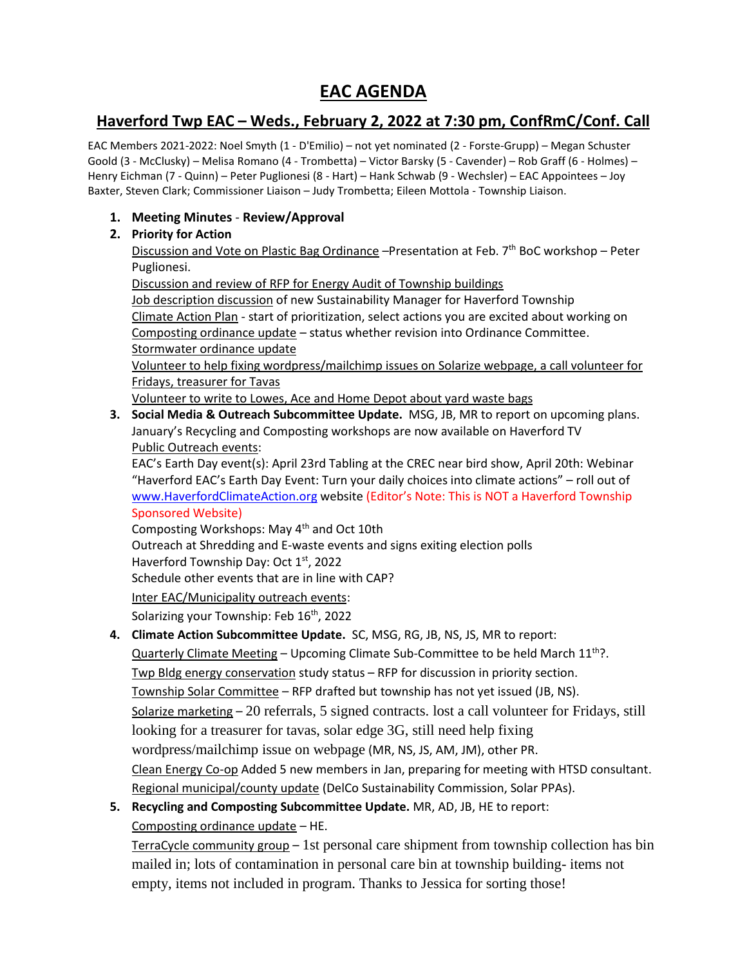# **EAC AGENDA**

## **Haverford Twp EAC – Weds., February 2, 2022 at 7:30 pm, ConfRmC/Conf. Call**

EAC Members 2021-2022: Noel Smyth (1 - D'Emilio) – not yet nominated (2 - Forste-Grupp) – Megan Schuster Goold (3 - McClusky) – Melisa Romano (4 - Trombetta) – Victor Barsky (5 - Cavender) – Rob Graff (6 - Holmes) – Henry Eichman (7 - Quinn) – Peter Puglionesi (8 - Hart) – Hank Schwab (9 - Wechsler) – EAC Appointees – Joy Baxter, Steven Clark; Commissioner Liaison – Judy Trombetta; Eileen Mottola - Township Liaison.

## **1. Meeting Minutes** - **Review/Approval**

## **2. Priority for Action**

Discussion and Vote on Plastic Bag Ordinance - Presentation at Feb. 7<sup>th</sup> BoC workshop - Peter Puglionesi.

Discussion and review of RFP for Energy Audit of Township buildings

Job description discussion of new Sustainability Manager for Haverford Township Climate Action Plan - start of prioritization, select actions you are excited about working on Composting ordinance update – status whether revision into Ordinance Committee. Stormwater ordinance update

Volunteer to help fixing wordpress/mailchimp issues on Solarize webpage, a call volunteer for Fridays, treasurer for Tavas

Volunteer to write to Lowes, Ace and Home Depot about yard waste bags

**3. Social Media & Outreach Subcommittee Update.** MSG, JB, MR to report on upcoming plans. January's Recycling and Composting workshops are now available on Haverford TV Public Outreach events:

EAC's Earth Day event(s): April 23rd Tabling at the CREC near bird show, April 20th: Webinar "Haverford EAC's Earth Day Event: Turn your daily choices into climate actions" – roll out of [www.HaverfordClimateAction.org](http://www.haverfordclimateaction.org/) website (Editor's Note: This is NOT a Haverford Township Sponsored Website)

Composting Workshops: May 4th and Oct 10th

Outreach at Shredding and E-waste events and signs exiting election polls

Haverford Township Day: Oct 1<sup>st</sup>, 2022

Schedule other events that are in line with CAP?

Inter EAC/Municipality outreach events:

Solarizing your Township: Feb 16<sup>th</sup>, 2022

**4. Climate Action Subcommittee Update.** SC, MSG, RG, JB, NS, JS, MR to report:

Quarterly Climate Meeting – Upcoming Climate Sub-Committee to be held March  $11^{th}$ ?. Twp Bldg energy conservation study status – RFP for discussion in priority section. Township Solar Committee – RFP drafted but township has not yet issued (JB, NS). Solarize marketing – 20 referrals, 5 signed contracts. lost a call volunteer for Fridays, still looking for a treasurer for tavas, solar edge 3G, still need help fixing wordpress/mailchimp issue on webpage (MR, NS, JS, AM, JM), other PR. Clean Energy Co-op Added 5 new members in Jan, preparing for meeting with HTSD consultant. Regional municipal/county update (DelCo Sustainability Commission, Solar PPAs).

**5. Recycling and Composting Subcommittee Update.** MR, AD, JB, HE to report: Composting ordinance update – HE.

TerraCycle community group – 1st personal care shipment from township collection has bin mailed in; lots of contamination in personal care bin at township building- items not empty, items not included in program. Thanks to Jessica for sorting those!